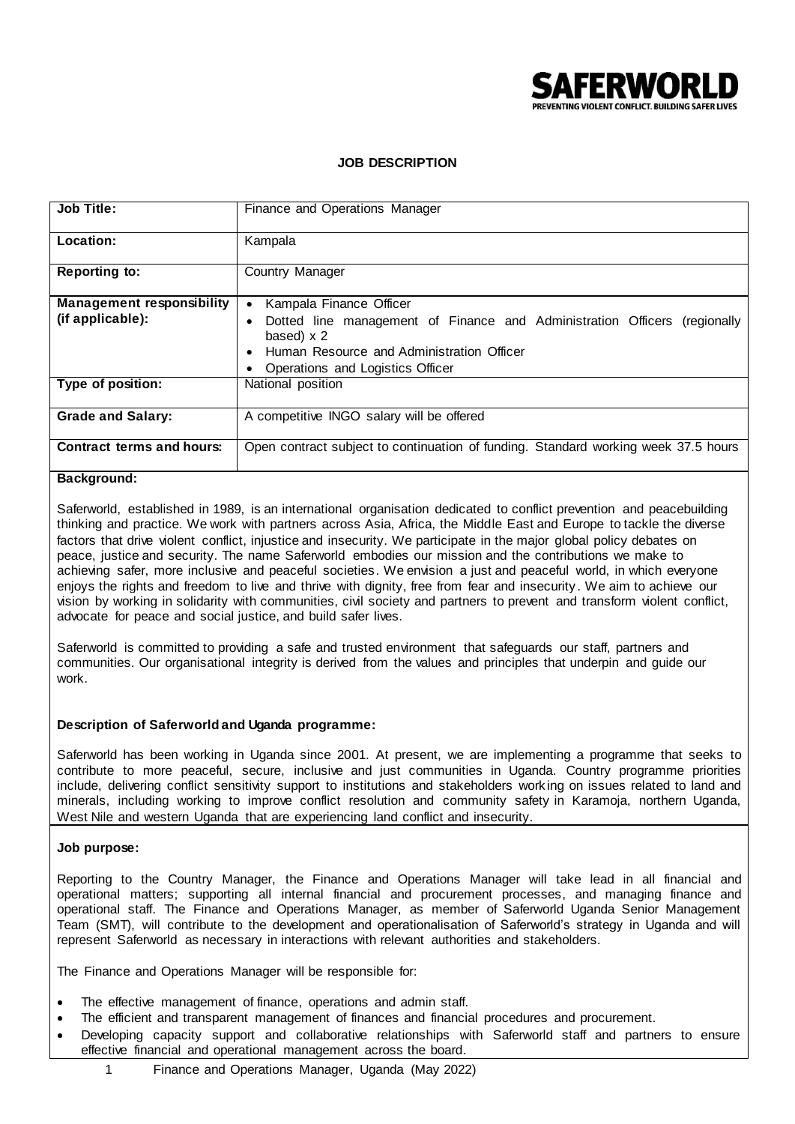

# **JOB DESCRIPTION**

| <b>Job Title:</b>                | Finance and Operations Manager                                                     |
|----------------------------------|------------------------------------------------------------------------------------|
| Location:                        | Kampala                                                                            |
| <b>Reporting to:</b>             | Country Manager                                                                    |
| <b>Management responsibility</b> | Kampala Finance Officer<br>$\bullet$                                               |
| (if applicable):                 | Dotted line management of Finance and Administration Officers<br>(regionally)<br>٠ |
|                                  | based) $\times$ 2                                                                  |
|                                  | Human Resource and Administration Officer<br>$\bullet$                             |
|                                  | Operations and Logistics Officer                                                   |
| Type of position:                | National position                                                                  |
| <b>Grade and Salary:</b>         | A competitive INGO salary will be offered                                          |
| <b>Contract terms and hours:</b> | Open contract subject to continuation of funding. Standard working week 37.5 hours |

# **Background:**

Saferworld, established in 1989, is an international organisation dedicated to conflict prevention and peacebuilding thinking and practice. We work with partners across Asia, Africa, the Middle East and Europe to tackle the diverse factors that drive violent conflict, injustice and insecurity. We participate in the major global policy debates on peace, justice and security. The name Saferworld embodies our mission and the contributions we make to achieving safer, more inclusive and peaceful societies. We envision a just and peaceful world, in which everyone enjoys the rights and freedom to live and thrive with dignity, free from fear and insecurity. We aim to achieve our vision by working in solidarity with communities, civil society and partners to prevent and transform violent conflict, advocate for peace and social justice, and build safer lives.

Saferworld is committed to providing a safe and trusted environment that safeguards our staff, partners and communities. Our organisational integrity is derived from the values and principles that underpin and guide our work.

## **Description of Saferworld and Uganda programme:**

Saferworld has been working in Uganda since 2001. At present, we are implementing a programme that seeks to contribute to more peaceful, secure, inclusive and just communities in Uganda. Country programme priorities include, delivering conflict sensitivity support to institutions and stakeholders work ing on issues related to land and minerals, including working to improve conflict resolution and [community safety](http://www.saferworld.org.uk/what/community-security) in Karamoja, northern Uganda, West Nile and western Uganda that are experiencing land conflict and insecurity.

#### **Job purpose:**

Reporting to the Country Manager, the Finance and Operations Manager will take lead in all financial and operational matters; supporting all internal financial and procurement processes, and managing finance and operational staff. The Finance and Operations Manager, as member of Saferworld Uganda Senior Management Team (SMT), will contribute to the development and operationalisation of Saferworld's strategy in Uganda and will represent Saferworld as necessary in interactions with relevant authorities and stakeholders.

The Finance and Operations Manager will be responsible for:

- The effective management of finance, operations and admin staff.
- The efficient and transparent management of finances and financial procedures and procurement.
- Developing capacity support and collaborative relationships with Saferworld staff and partners to ensure effective financial and operational management across the board.
	- 1 Finance and Operations Manager, Uganda (May 2022)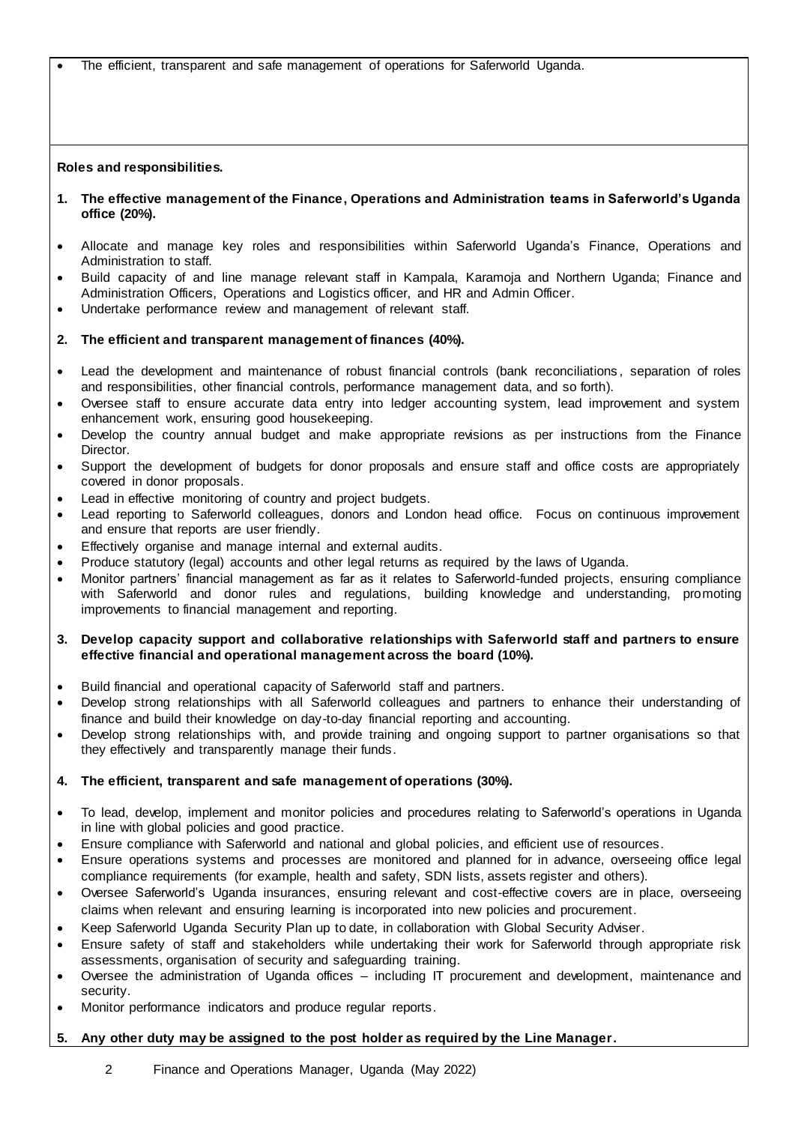The efficient, transparent and safe management of operations for Saferworld Uganda.

#### **Roles and responsibilities.**

- **1. The effective management of the Finance, Operations and Administration teams in Saferworld's Uganda office (20%).**
- Allocate and manage key roles and responsibilities within Saferworld Uganda's Finance, Operations and Administration to staff.
- Build capacity of and line manage relevant staff in Kampala, Karamoja and Northern Uganda; Finance and Administration Officers, Operations and Logistics officer, and HR and Admin Officer.
- Undertake performance review and management of relevant staff.

## **2. The efficient and transparent management of finances (40%).**

- Lead the development and maintenance of robust financial controls (bank reconciliations , separation of roles and responsibilities, other financial controls, performance management data, and so forth).
- Oversee staff to ensure accurate data entry into ledger accounting system, lead improvement and system enhancement work, ensuring good housekeeping.
- Develop the country annual budget and make appropriate revisions as per instructions from the Finance Director.
- Support the development of budgets for donor proposals and ensure staff and office costs are appropriately covered in donor proposals.
- Lead in effective monitoring of country and project budgets.
- Lead reporting to Saferworld colleagues, donors and London head office. Focus on continuous improvement and ensure that reports are user friendly.
- Effectively organise and manage internal and external audits.
- Produce statutory (legal) accounts and other legal returns as required by the laws of Uganda.
- Monitor partners' financial management as far as it relates to Saferworld-funded projects, ensuring compliance with Saferworld and donor rules and regulations, building knowledge and understanding, promoting improvements to financial management and reporting.

## **3. Develop capacity support and collaborative relationships with Saferworld staff and partners to ensure effective financial and operational management across the board (10%).**

- Build financial and operational capacity of Saferworld staff and partners.
- Develop strong relationships with all Saferworld colleagues and partners to enhance their understanding of finance and build their knowledge on day-to-day financial reporting and accounting.
- Develop strong relationships with, and provide training and ongoing support to partner organisations so that they effectively and transparently manage their funds.

#### **4. The efficient, transparent and safe management of operations (30%).**

- To lead, develop, implement and monitor policies and procedures relating to Saferworld's operations in Uganda in line with global policies and good practice.
- Ensure compliance with Saferworld and national and global policies, and efficient use of resources.
- Ensure operations systems and processes are monitored and planned for in advance, overseeing office legal compliance requirements (for example, health and safety, SDN lists, assets register and others).
- Oversee Saferworld's Uganda insurances, ensuring relevant and cost-effective covers are in place, overseeing claims when relevant and ensuring learning is incorporated into new policies and procurement.
- Keep Saferworld Uganda Security Plan up to date, in collaboration with Global Security Adviser.
- Ensure safety of staff and stakeholders while undertaking their work for Saferworld through appropriate risk assessments, organisation of security and safeguarding training.
- Oversee the administration of Uganda offices including IT procurement and development, maintenance and security.
- Monitor performance indicators and produce regular reports.

# **5. Any other duty may be assigned to the post holder as required by the Line Manager.**

2 Finance and Operations Manager, Uganda (May 2022)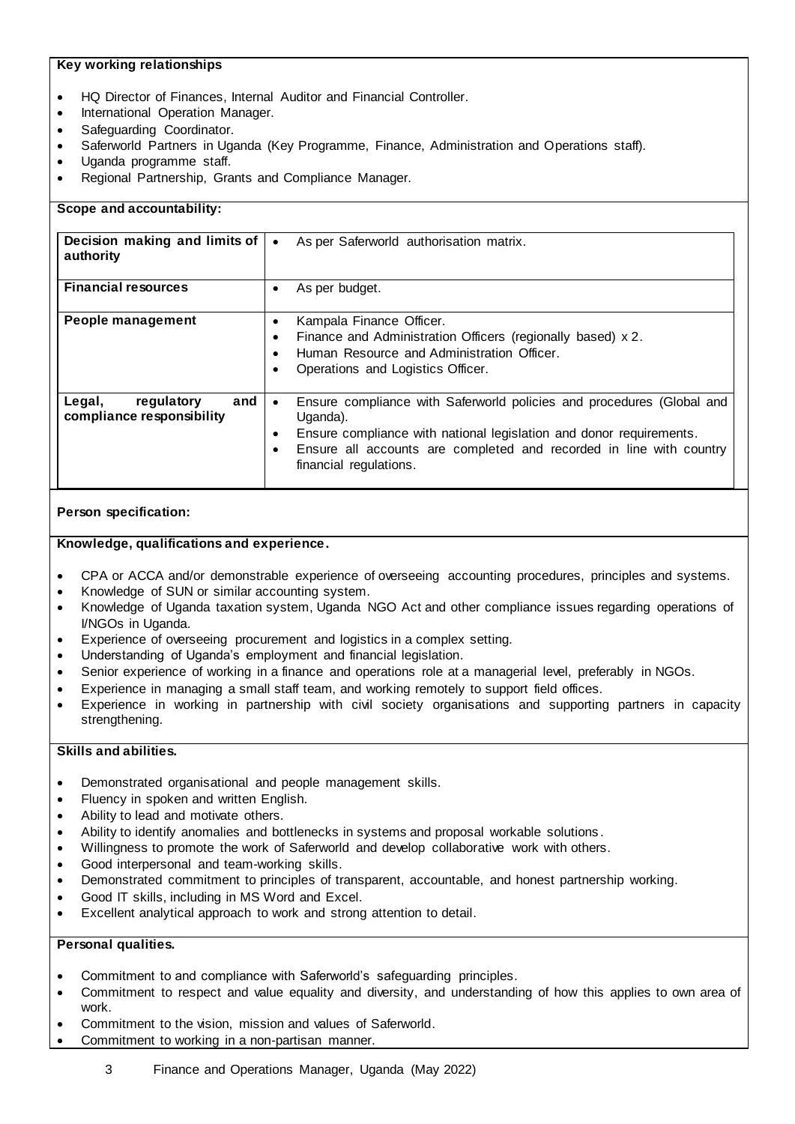# **Key working relationships**

- HQ Director of Finances, Internal Auditor and Financial Controller.
- International Operation Manager.
- Safeguarding Coordinator.
- Saferworld Partners in Uganda (Key Programme, Finance, Administration and Operations staff).
- Uganda programme staff.
- Regional Partnership, Grants and Compliance Manager.

| Scope and accountability:                                |                                                                                                                                                                                                                                                                                                  |
|----------------------------------------------------------|--------------------------------------------------------------------------------------------------------------------------------------------------------------------------------------------------------------------------------------------------------------------------------------------------|
| Decision making and limits of<br>authority               | As per Saferworld authorisation matrix.<br>$\bullet$                                                                                                                                                                                                                                             |
| <b>Financial resources</b>                               | As per budget.<br>$\bullet$                                                                                                                                                                                                                                                                      |
| People management                                        | Kampala Finance Officer.<br>$\bullet$<br>Finance and Administration Officers (regionally based) x 2.<br>٠<br>Human Resource and Administration Officer.<br>$\bullet$<br>Operations and Logistics Officer.<br>٠                                                                                   |
| and<br>Legal,<br>regulatory<br>compliance responsibility | Ensure compliance with Saferworld policies and procedures (Global and<br>$\bullet$<br>Uganda).<br>Ensure compliance with national legislation and donor requirements.<br>$\bullet$<br>Ensure all accounts are completed and recorded in line with country<br>$\bullet$<br>financial regulations. |

# **Person specification:**

## **Knowledge, qualifications and experience.**

- CPA or ACCA and/or demonstrable experience of overseeing accounting procedures, principles and systems.
- Knowledge of SUN or similar accounting system.
- Knowledge of Uganda taxation system, Uganda NGO Act and other compliance issues regarding operations of I/NGOs in Uganda.
- Experience of overseeing procurement and logistics in a complex setting.
- Understanding of Uganda's employment and financial legislation.
- Senior experience of working in a finance and operations role at a managerial level, preferably in NGOs.
- Experience in managing a small staff team, and working remotely to support field offices.
- Experience in working in partnership with civil society organisations and supporting partners in capacity strengthening.

# **Skills and abilities.**

- Demonstrated organisational and people management skills.
- Fluency in spoken and written English.
- Ability to lead and motivate others.
- Ability to identify anomalies and bottlenecks in systems and proposal workable solutions .
- Willingness to promote the work of Saferworld and develop collaborative work with others.
- Good interpersonal and team-working skills.
- Demonstrated commitment to principles of transparent, accountable, and honest partnership working.
- Good IT skills, including in MS Word and Excel.
- Excellent analytical approach to work and strong attention to detail.

#### **Personal qualities.**

- Commitment to and compliance with Saferworld's safeguarding principles.
- Commitment to respect and value equality and diversity, and understanding of how this applies to own area of work.
- Commitment to the vision, mission and values of Saferworld.
- Commitment to working in a non-partisan manner.